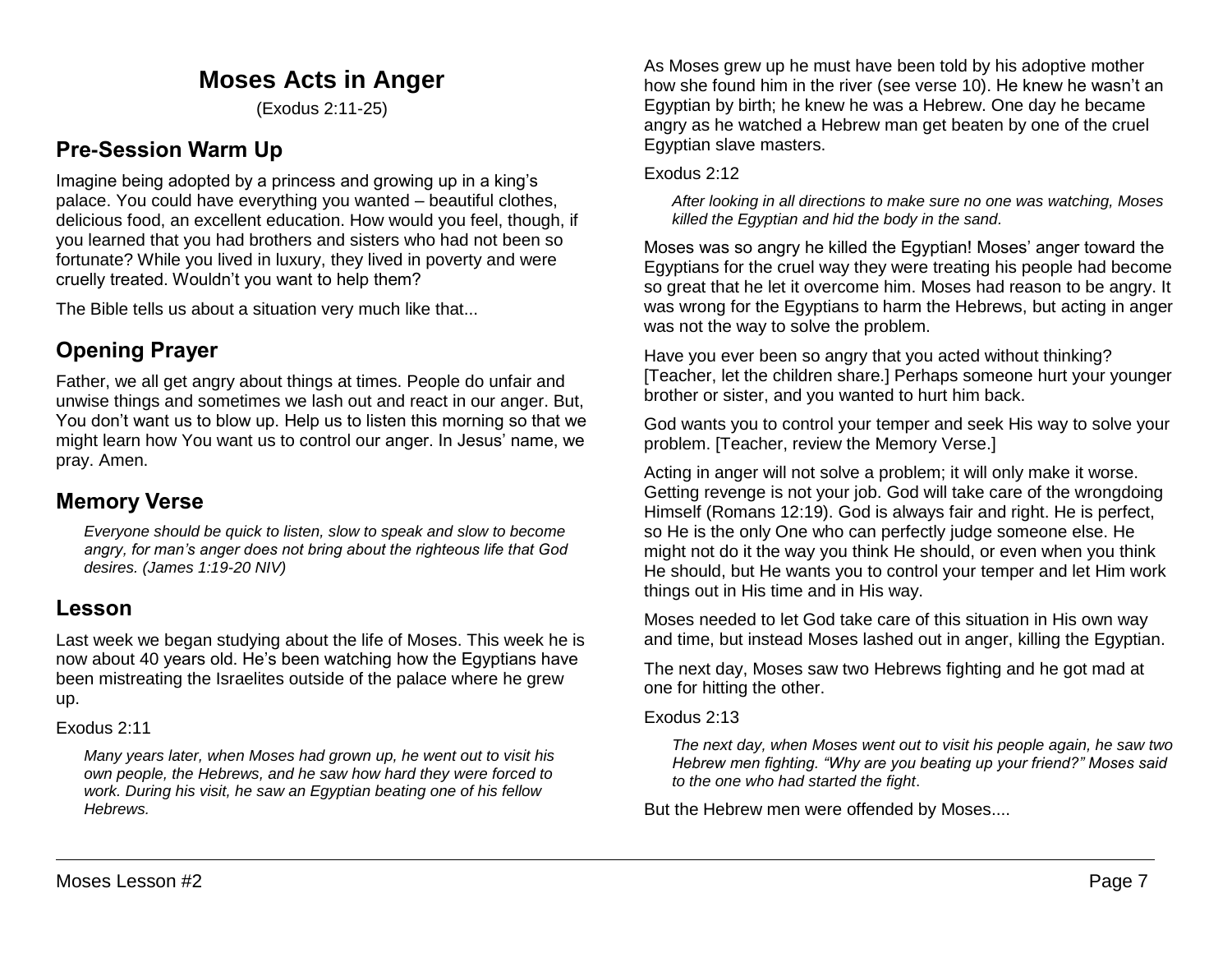# **Moses Acts in Anger**

(Exodus 2:11-25)

# **Pre-Session Warm Up**

Imagine being adopted by a princess and growing up in a king's palace. You could have everything you wanted – beautiful clothes, delicious food, an excellent education. How would you feel, though, if you learned that you had brothers and sisters who had not been so fortunate? While you lived in luxury, they lived in poverty and were cruelly treated. Wouldn't you want to help them?

The Bible tells us about a situation very much like that...

# **Opening Prayer**

Father, we all get angry about things at times. People do unfair and unwise things and sometimes we lash out and react in our anger. But, You don't want us to blow up. Help us to listen this morning so that we might learn how You want us to control our anger. In Jesus' name, we pray. Amen.

## **Memory Verse**

*Everyone should be quick to listen, slow to speak and slow to become angry, for man's anger does not bring about the righteous life that God desires. (James 1:19-20 NIV)*

## **Lesson**

Last week we began studying about the life of Moses. This week he is now about 40 years old. He's been watching how the Egyptians have been mistreating the Israelites outside of the palace where he grew up.

### Exodus 2:11

*Many years later, when Moses had grown up, he went out to visit his own people, the Hebrews, and he saw how hard they were forced to work. During his visit, he saw an Egyptian beating one of his fellow Hebrews.*

As Moses grew up he must have been told by his adoptive mother how she found him in the river (see verse 10). He knew he wasn't an Egyptian by birth; he knew he was a Hebrew. One day he became angry as he watched a Hebrew man get beaten by one of the cruel Egyptian slave masters.

### Exodus 2:12

*After looking in all directions to make sure no one was watching, Moses killed the Egyptian and hid the body in the sand.*

Moses was so angry he killed the Egyptian! Moses' anger toward the Egyptians for the cruel way they were treating his people had become so great that he let it overcome him. Moses had reason to be angry. It was wrong for the Egyptians to harm the Hebrews, but acting in anger was not the way to solve the problem.

Have you ever been so angry that you acted without thinking? [Teacher, let the children share.] Perhaps someone hurt your younger brother or sister, and you wanted to hurt him back.

God wants you to control your temper and seek His way to solve your problem. [Teacher, review the Memory Verse.]

Acting in anger will not solve a problem; it will only make it worse. Getting revenge is not your job. God will take care of the wrongdoing Himself (Romans 12:19). God is always fair and right. He is perfect, so He is the only One who can perfectly judge someone else. He might not do it the way you think He should, or even when you think He should, but He wants you to control your temper and let Him work things out in His time and in His way.

Moses needed to let God take care of this situation in His own way and time, but instead Moses lashed out in anger, killing the Egyptian.

The next day, Moses saw two Hebrews fighting and he got mad at one for hitting the other.

#### Exodus 2:13

*The next day, when Moses went out to visit his people again, he saw two Hebrew men fighting. "Why are you beating up your friend?" Moses said to the one who had started the fight*.

But the Hebrew men were offended by Moses....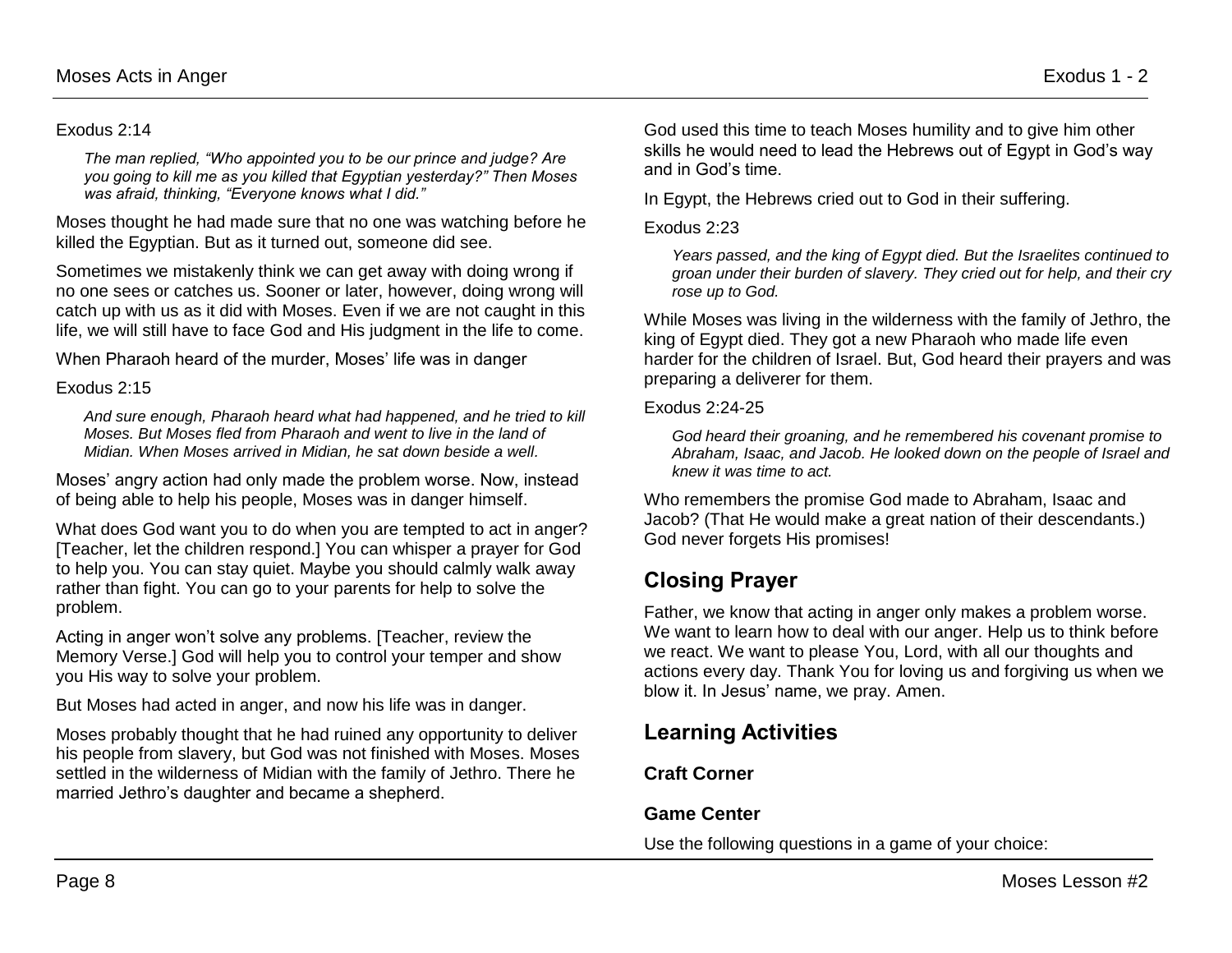#### Exodus 2:14

*The man replied, "Who appointed you to be our prince and judge? Are you going to kill me as you killed that Egyptian yesterday?" Then Moses was afraid, thinking, "Everyone knows what I did."*

Moses thought he had made sure that no one was watching before he killed the Egyptian. But as it turned out, someone did see.

Sometimes we mistakenly think we can get away with doing wrong if no one sees or catches us. Sooner or later, however, doing wrong will catch up with us as it did with Moses. Even if we are not caught in this life, we will still have to face God and His judgment in the life to come.

When Pharaoh heard of the murder, Moses' life was in danger

#### Exodus 2:15

*And sure enough, Pharaoh heard what had happened, and he tried to kill Moses. But Moses fled from Pharaoh and went to live in the land of Midian. When Moses arrived in Midian, he sat down beside a well.*

Moses' angry action had only made the problem worse. Now, instead of being able to help his people, Moses was in danger himself.

What does God want you to do when you are tempted to act in anger? [Teacher, let the children respond.] You can whisper a prayer for God to help you. You can stay quiet. Maybe you should calmly walk away rather than fight. You can go to your parents for help to solve the problem.

Acting in anger won't solve any problems. [Teacher, review the Memory Verse.] God will help you to control your temper and show you His way to solve your problem.

But Moses had acted in anger, and now his life was in danger.

Moses probably thought that he had ruined any opportunity to deliver his people from slavery, but God was not finished with Moses. Moses settled in the wilderness of Midian with the family of Jethro. There he married Jethro's daughter and became a shepherd.

God used this time to teach Moses humility and to give him other skills he would need to lead the Hebrews out of Egypt in God's way and in God's time.

In Egypt, the Hebrews cried out to God in their suffering.

#### Exodus 2:23

*Years passed, and the king of Egypt died. But the Israelites continued to groan under their burden of slavery. They cried out for help, and their cry rose up to God.*

While Moses was living in the wilderness with the family of Jethro, the king of Egypt died. They got a new Pharaoh who made life even harder for the children of Israel. But, God heard their prayers and was preparing a deliverer for them.

Exodus 2:24-25

*God heard their groaning, and he remembered his covenant promise to Abraham, Isaac, and Jacob. He looked down on the people of Israel and knew it was time to act.* 

Who remembers the promise God made to Abraham, Isaac and Jacob? (That He would make a great nation of their descendants.) God never forgets His promises!

# **Closing Prayer**

Father, we know that acting in anger only makes a problem worse. We want to learn how to deal with our anger. Help us to think before we react. We want to please You, Lord, with all our thoughts and actions every day. Thank You for loving us and forgiving us when we blow it. In Jesus' name, we pray. Amen.

# **Learning Activities**

### **Craft Corner**

### **Game Center**

Use the following questions in a game of your choice: